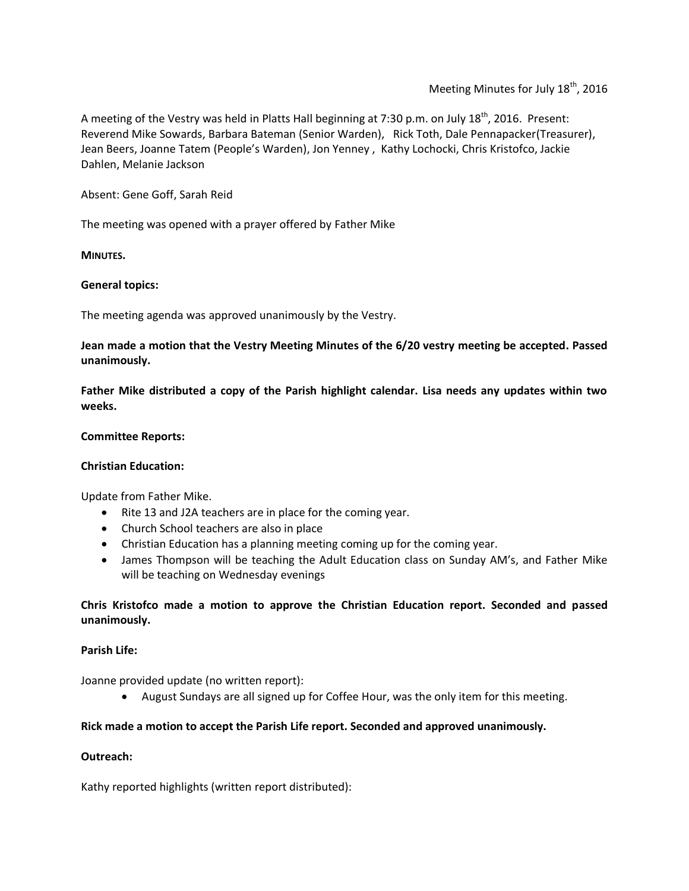A meeting of the Vestry was held in Platts Hall beginning at 7:30 p.m. on July 18<sup>th</sup>, 2016. Present: Reverend Mike Sowards, Barbara Bateman (Senior Warden), Rick Toth, Dale Pennapacker(Treasurer), Jean Beers, Joanne Tatem (People's Warden), Jon Yenney , Kathy Lochocki, Chris Kristofco, Jackie Dahlen, Melanie Jackson

Absent: Gene Goff, Sarah Reid

The meeting was opened with a prayer offered by Father Mike

**MINUTES.**

### **General topics:**

The meeting agenda was approved unanimously by the Vestry.

**Jean made a motion that the Vestry Meeting Minutes of the 6/20 vestry meeting be accepted. Passed unanimously.**

**Father Mike distributed a copy of the Parish highlight calendar. Lisa needs any updates within two weeks.**

### **Committee Reports:**

### **Christian Education:**

Update from Father Mike.

- Rite 13 and J2A teachers are in place for the coming year.
- Church School teachers are also in place
- Christian Education has a planning meeting coming up for the coming year.
- James Thompson will be teaching the Adult Education class on Sunday AM's, and Father Mike will be teaching on Wednesday evenings

## **Chris Kristofco made a motion to approve the Christian Education report. Seconded and passed unanimously.**

### **Parish Life:**

Joanne provided update (no written report):

August Sundays are all signed up for Coffee Hour, was the only item for this meeting.

## **Rick made a motion to accept the Parish Life report. Seconded and approved unanimously.**

### **Outreach:**

Kathy reported highlights (written report distributed):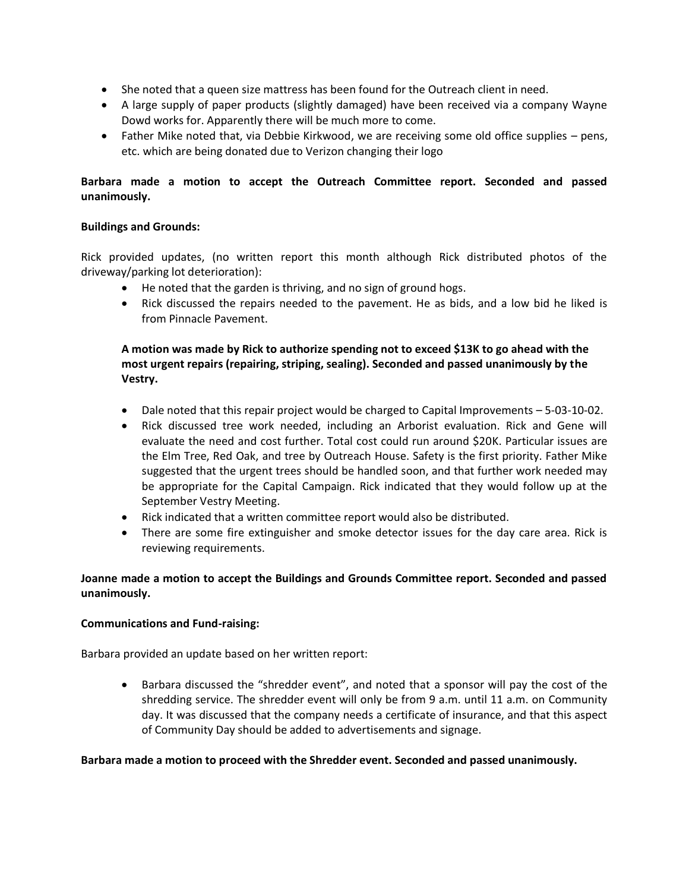- She noted that a queen size mattress has been found for the Outreach client in need.
- A large supply of paper products (slightly damaged) have been received via a company Wayne Dowd works for. Apparently there will be much more to come.
- Father Mike noted that, via Debbie Kirkwood, we are receiving some old office supplies pens, etc. which are being donated due to Verizon changing their logo

# **Barbara made a motion to accept the Outreach Committee report. Seconded and passed unanimously.**

## **Buildings and Grounds:**

Rick provided updates, (no written report this month although Rick distributed photos of the driveway/parking lot deterioration):

- He noted that the garden is thriving, and no sign of ground hogs.
- Rick discussed the repairs needed to the pavement. He as bids, and a low bid he liked is from Pinnacle Pavement.

## **A motion was made by Rick to authorize spending not to exceed \$13K to go ahead with the most urgent repairs (repairing, striping, sealing). Seconded and passed unanimously by the Vestry.**

- Dale noted that this repair project would be charged to Capital Improvements 5-03-10-02.
- Rick discussed tree work needed, including an Arborist evaluation. Rick and Gene will evaluate the need and cost further. Total cost could run around \$20K. Particular issues are the Elm Tree, Red Oak, and tree by Outreach House. Safety is the first priority. Father Mike suggested that the urgent trees should be handled soon, and that further work needed may be appropriate for the Capital Campaign. Rick indicated that they would follow up at the September Vestry Meeting.
- Rick indicated that a written committee report would also be distributed.
- There are some fire extinguisher and smoke detector issues for the day care area. Rick is reviewing requirements.

# **Joanne made a motion to accept the Buildings and Grounds Committee report. Seconded and passed unanimously.**

## **Communications and Fund-raising:**

Barbara provided an update based on her written report:

• Barbara discussed the "shredder event", and noted that a sponsor will pay the cost of the shredding service. The shredder event will only be from 9 a.m. until 11 a.m. on Community day. It was discussed that the company needs a certificate of insurance, and that this aspect of Community Day should be added to advertisements and signage.

## **Barbara made a motion to proceed with the Shredder event. Seconded and passed unanimously.**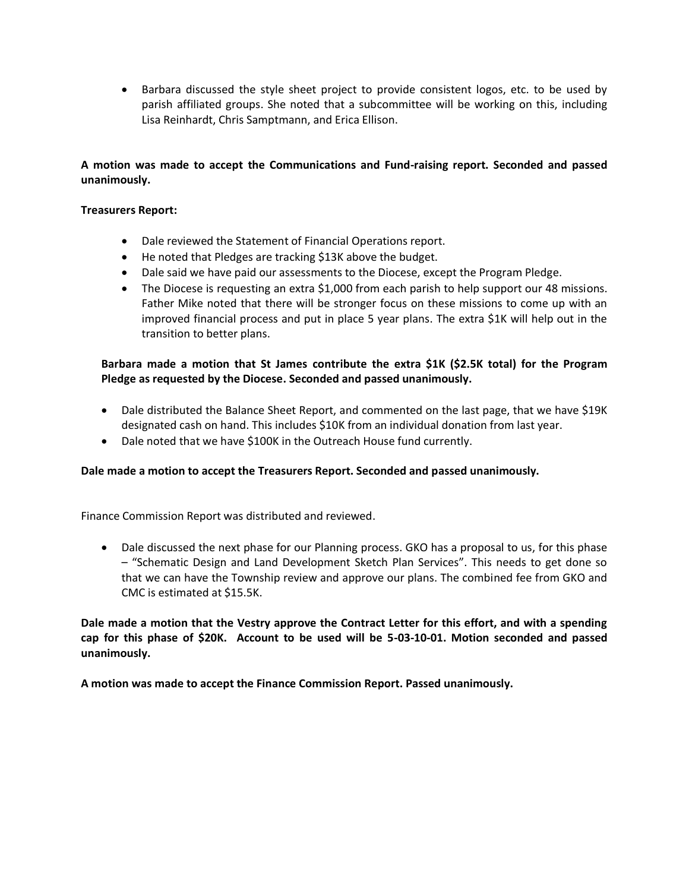• Barbara discussed the style sheet project to provide consistent logos, etc. to be used by parish affiliated groups. She noted that a subcommittee will be working on this, including Lisa Reinhardt, Chris Samptmann, and Erica Ellison.

# **A motion was made to accept the Communications and Fund-raising report. Seconded and passed unanimously.**

### **Treasurers Report:**

- Dale reviewed the Statement of Financial Operations report.
- He noted that Pledges are tracking \$13K above the budget.
- Dale said we have paid our assessments to the Diocese, except the Program Pledge.
- The Diocese is requesting an extra \$1,000 from each parish to help support our 48 missions. Father Mike noted that there will be stronger focus on these missions to come up with an improved financial process and put in place 5 year plans. The extra \$1K will help out in the transition to better plans.

## **Barbara made a motion that St James contribute the extra \$1K (\$2.5K total) for the Program Pledge as requested by the Diocese. Seconded and passed unanimously.**

- Dale distributed the Balance Sheet Report, and commented on the last page, that we have \$19K designated cash on hand. This includes \$10K from an individual donation from last year.
- Dale noted that we have \$100K in the Outreach House fund currently.

## **Dale made a motion to accept the Treasurers Report. Seconded and passed unanimously.**

Finance Commission Report was distributed and reviewed.

• Dale discussed the next phase for our Planning process. GKO has a proposal to us, for this phase – "Schematic Design and Land Development Sketch Plan Services". This needs to get done so that we can have the Township review and approve our plans. The combined fee from GKO and CMC is estimated at \$15.5K.

**Dale made a motion that the Vestry approve the Contract Letter for this effort, and with a spending cap for this phase of \$20K. Account to be used will be 5-03-10-01. Motion seconded and passed unanimously.**

**A motion was made to accept the Finance Commission Report. Passed unanimously.**